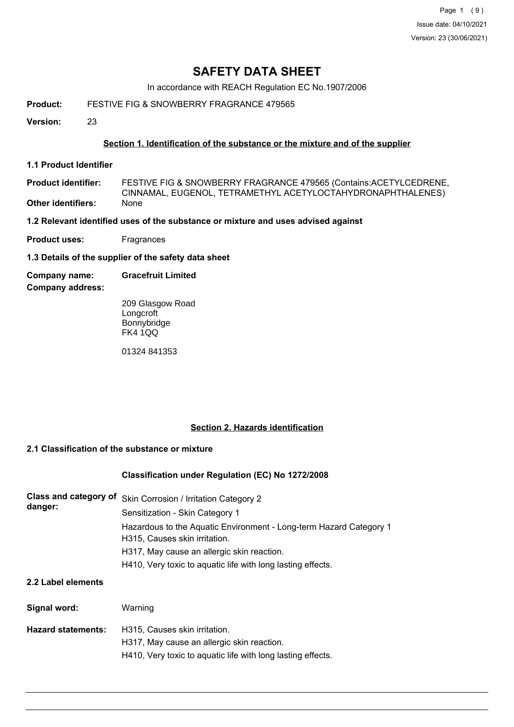In accordance with REACH Regulation EC No.1907/2006

**Product:** FESTIVE FIG & SNOWBERRY FRAGRANCE 479565

**Version:** 23

### **Section 1. Identification of the substance or the mixture and of the supplier**

**1.1 Product Identifier**

FESTIVE FIG & SNOWBERRY FRAGRANCE 479565 (Contains:ACETYLCEDRENE, CINNAMAL, EUGENOL, TETRAMETHYL ACETYLOCTAHYDRONAPHTHALENES) **Product identifier: Other identifiers:** 

**1.2 Relevant identified uses of the substance or mixture and uses advised against**

- **Product uses:** Fragrances
- **1.3 Details of the supplier of the safety data sheet**
- **Company name: Gracefruit Limited**

**Company address:**

209 Glasgow Road Longcroft Bonnybridge FK4 1QQ

01324 841353

# **Section 2. Hazards identification**

#### **2.1 Classification of the substance or mixture**

#### **Classification under Regulation (EC) No 1272/2008**

| danger: | Class and category of Skin Corrosion / Irritation Category 2       |
|---------|--------------------------------------------------------------------|
|         | Sensitization - Skin Category 1                                    |
|         | Hazardous to the Aquatic Environment - Long-term Hazard Category 1 |
|         | H315, Causes skin irritation.                                      |
|         | H317, May cause an allergic skin reaction.                         |
|         | H410, Very toxic to aguatic life with long lasting effects.        |
|         |                                                                    |

# **2.2 Label elements**

| Signal word:              | Warning                                                                     |
|---------------------------|-----------------------------------------------------------------------------|
| <b>Hazard statements:</b> | H315, Causes skin irritation.<br>H317, May cause an allergic skin reaction. |
|                           | H410, Very toxic to aquatic life with long lasting effects.                 |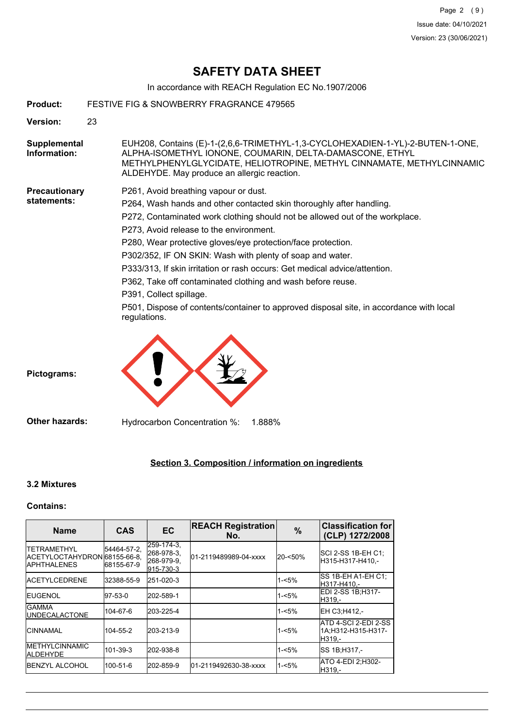In accordance with REACH Regulation EC No.1907/2006

| <b>Product:</b>              | FESTIVE FIG & SNOWBERRY FRAGRANCE 479565                                                                                                                                                                                                                                                                                                                                                                                                                                                                                                                                                                                                                 |
|------------------------------|----------------------------------------------------------------------------------------------------------------------------------------------------------------------------------------------------------------------------------------------------------------------------------------------------------------------------------------------------------------------------------------------------------------------------------------------------------------------------------------------------------------------------------------------------------------------------------------------------------------------------------------------------------|
| Version:                     | 23                                                                                                                                                                                                                                                                                                                                                                                                                                                                                                                                                                                                                                                       |
| Supplemental<br>Information: | EUH208, Contains (E)-1-(2,6,6-TRIMETHYL-1,3-CYCLOHEXADIEN-1-YL)-2-BUTEN-1-ONE,<br>ALPHA-ISOMETHYL IONONE, COUMARIN, DELTA-DAMASCONE, ETHYL<br>METHYLPHENYLGLYCIDATE, HELIOTROPINE, METHYL CINNAMATE, METHYLCINNAMIC<br>ALDEHYDE. May produce an allergic reaction.                                                                                                                                                                                                                                                                                                                                                                                       |
| Precautionary<br>statements: | P261, Avoid breathing vapour or dust.<br>P264, Wash hands and other contacted skin thoroughly after handling.<br>P272, Contaminated work clothing should not be allowed out of the workplace.<br>P273, Avoid release to the environment.<br>P280, Wear protective gloves/eye protection/face protection.<br>P302/352, IF ON SKIN: Wash with plenty of soap and water.<br>P333/313, If skin irritation or rash occurs: Get medical advice/attention.<br>P362, Take off contaminated clothing and wash before reuse.<br>P391, Collect spillage.<br>P501, Dispose of contents/container to approved disposal site, in accordance with local<br>regulations. |
| Pictograms:                  |                                                                                                                                                                                                                                                                                                                                                                                                                                                                                                                                                                                                                                                          |
| <b>Other hazards:</b>        | Hydrocarbon Concentration %:<br>1.888%                                                                                                                                                                                                                                                                                                                                                                                                                                                                                                                                                                                                                   |

# **Section 3. Composition / information on ingredients**

# **3.2 Mixtures**

# **Contains:**

| <b>Name</b>                                                                | <b>CAS</b>                | <b>EC</b>                                           | <b>REACH Registration</b><br>No. | %        | <b>Classification for</b><br>(CLP) 1272/2008          |
|----------------------------------------------------------------------------|---------------------------|-----------------------------------------------------|----------------------------------|----------|-------------------------------------------------------|
| <b>ITETRAMETHYL</b><br>IACETYLOCTAHYDRON68155-66-8.<br><b>IAPHTHALENES</b> | 54464-57-2,<br>68155-67-9 | 259-174-3.<br>268-978-3.<br>268-979-9.<br>915-730-3 | 01-2119489989-04-xxxx            | 20-<50%  | SCI 2-SS 1B-EH C1;<br>H315-H317-H410.-                |
| <b>IACETYLCEDRENE</b>                                                      | 32388-55-9                | 251-020-3                                           |                                  | 1-<5%    | SS 1B-EH A1-EH C1:<br>H317-H410.-                     |
| <b>IEUGENOL</b>                                                            | 97-53-0                   | 202-589-1                                           |                                  | 1-<5%    | EDI 2-SS 1B;H317-<br>H319.-                           |
| <b>IGAMMA</b><br><b>IUNDECALACTONE</b>                                     | 104-67-6                  | 203-225-4                                           |                                  | $1 - 5%$ | EH C3;H412,-                                          |
| <b>ICINNAMAL</b>                                                           | 104-55-2                  | 203-213-9                                           |                                  | $1 - 5%$ | ATD 4-SCI 2-EDI 2-SS<br>1A:H312-H315-H317-<br>IH319.- |
| <b>IMETHYLCINNAMIC</b><br><b>ALDEHYDE</b>                                  | 101-39-3                  | 202-938-8                                           |                                  | 1-<5%    | ISS 1B:H317.-                                         |
| <b>IBENZYL ALCOHOL</b>                                                     | 100-51-6                  | 202-859-9                                           | 01-2119492630-38-xxxx            | 1-<5%    | IATO 4-EDI 2:H302-<br>IH319.-                         |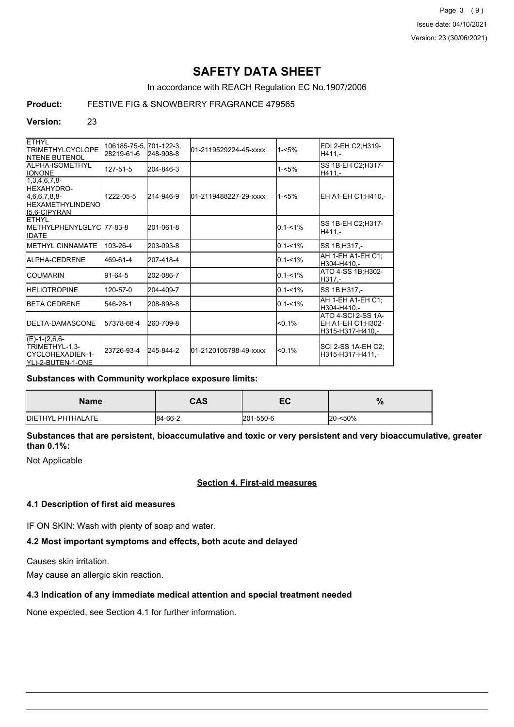Page 3 (9) Issue date: 04/10/2021 Version: 23 (30/06/2021)

# **SAFETY DATA SHEET**

In accordance with REACH Regulation EC No.1907/2006

## **Product:** FESTIVE FIG & SNOWBERRY FRAGRANCE 479565

#### **Version:** 23

| <b>ETHYL</b><br><b>TRIMETHYLCYCLOPE</b><br><b>INTENE BUTENOL</b>                                  | 106185-75-5, 701-122-3,<br>28219-61-6 | 248-908-8 | 01-2119529224-45-xxxx | $1 - 5%$    | EDI 2-EH C2;H319-<br>H411.-                                 |
|---------------------------------------------------------------------------------------------------|---------------------------------------|-----------|-----------------------|-------------|-------------------------------------------------------------|
| ALPHA-ISOMETHYL<br><b>IONONE</b>                                                                  | 127-51-5                              | 204-846-3 |                       | $1 - 5%$    | SS 1B-EH C2; H317-<br>H411,-                                |
| $[1,3,4,6,7,8-$<br><b>IHEXAHYDRO-</b><br>[4,6,6,7,8,8]<br><b>HEXAMETHYLINDENO</b><br>[5,6-C]PYRAN | 1222-05-5                             | 214-946-9 | 01-2119488227-29-xxxx | $1 - 5%$    | EH A1-EH C1;H410,-                                          |
| <b>IETHYL</b><br>METHYLPHENYLGLYC 77-83-8<br><b>IDATE</b>                                         |                                       | 201-061-8 |                       | $0.1 - 1\%$ | SS 1B-EH C2;H317-<br>H411.-                                 |
| <b>IMETHYL CINNAMATE</b>                                                                          | 103-26-4                              | 203-093-8 |                       | $0.1 - 1\%$ | SS 1B; H317,-                                               |
| <b>IALPHA-CEDRENE</b>                                                                             | 469-61-4                              | 207-418-4 |                       | $0.1 - 1%$  | AH 1-EH A1-EH C1:<br>H304-H410.-                            |
| <b>ICOUMARIN</b>                                                                                  | $91 - 64 - 5$                         | 202-086-7 |                       | $0.1 - 1\%$ | ATO 4-SS 1B;H302-<br>H317.-                                 |
| <b>IHELIOTROPINE</b>                                                                              | 120-57-0                              | 204-409-7 |                       | $0.1 - 1%$  | SS 1B; H317,-                                               |
| <b>IBETA CEDRENE</b>                                                                              | 546-28-1                              | 208-898-8 |                       | $0.1 - 1\%$ | AH 1-EH A1-EH C1;<br>H304-H410.-                            |
| <b>IDELTA-DAMASCONE</b>                                                                           | 57378-68-4                            | 260-709-8 |                       | $< 0.1\%$   | ATO 4-SCI 2-SS 1A-<br>EH A1-EH C1;H302-<br>H315-H317-H410.- |
| $(E)-1-(2,6,6-$<br>TRIMETHYL-1,3-<br>ICYCLOHEXADIEN-1-<br>YL)-2-BUTEN-1-ONE                       | 23726-93-4                            | 245-844-2 | 01-2120105798-49-xxxx | < 0.1%      | SCI 2-SS 1A-EH C2;<br>H315-H317-H411,-                      |

#### **Substances with Community workplace exposure limits:**

| <b>Name</b>               | <b>CAS</b> | -0<br>cv  | %       |
|---------------------------|------------|-----------|---------|
| <b>IDIETHYL PHTHALATE</b> | 84-66-2    | 201-550-6 | 20-<50% |

**Substances that are persistent, bioaccumulative and toxic or very persistent and very bioaccumulative, greater than 0.1%:**

Not Applicable

#### **Section 4. First-aid measures**

#### **4.1 Description of first aid measures**

IF ON SKIN: Wash with plenty of soap and water.

# **4.2 Most important symptoms and effects, both acute and delayed**

Causes skin irritation.

May cause an allergic skin reaction.

# **4.3 Indication of any immediate medical attention and special treatment needed**

None expected, see Section 4.1 for further information.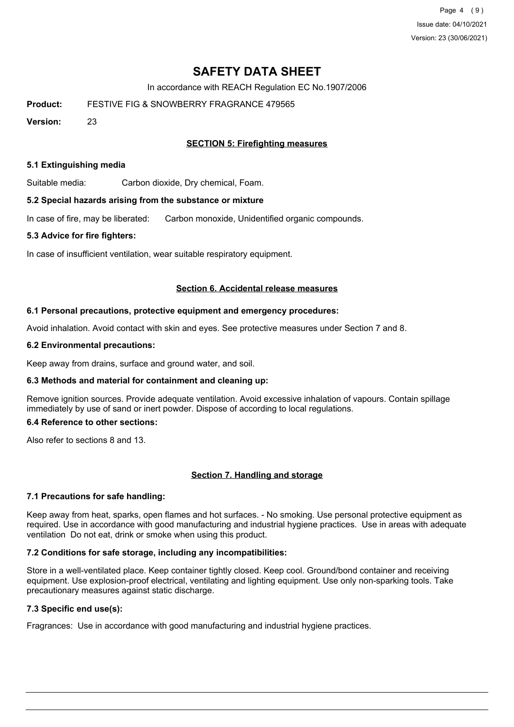Page 4 (9) Issue date: 04/10/2021 Version: 23 (30/06/2021)

# **SAFETY DATA SHEET**

In accordance with REACH Regulation EC No.1907/2006

**Product:** FESTIVE FIG & SNOWBERRY FRAGRANCE 479565

**Version:** 23

### **SECTION 5: Firefighting measures**

#### **5.1 Extinguishing media**

Suitable media: Carbon dioxide, Dry chemical, Foam.

#### **5.2 Special hazards arising from the substance or mixture**

In case of fire, may be liberated: Carbon monoxide, Unidentified organic compounds.

#### **5.3 Advice for fire fighters:**

In case of insufficient ventilation, wear suitable respiratory equipment.

#### **Section 6. Accidental release measures**

#### **6.1 Personal precautions, protective equipment and emergency procedures:**

Avoid inhalation. Avoid contact with skin and eyes. See protective measures under Section 7 and 8.

#### **6.2 Environmental precautions:**

Keep away from drains, surface and ground water, and soil.

#### **6.3 Methods and material for containment and cleaning up:**

Remove ignition sources. Provide adequate ventilation. Avoid excessive inhalation of vapours. Contain spillage immediately by use of sand or inert powder. Dispose of according to local regulations.

### **6.4 Reference to other sections:**

Also refer to sections 8 and 13.

#### **Section 7. Handling and storage**

#### **7.1 Precautions for safe handling:**

Keep away from heat, sparks, open flames and hot surfaces. - No smoking. Use personal protective equipment as required. Use in accordance with good manufacturing and industrial hygiene practices. Use in areas with adequate ventilation Do not eat, drink or smoke when using this product.

#### **7.2 Conditions for safe storage, including any incompatibilities:**

Store in a well-ventilated place. Keep container tightly closed. Keep cool. Ground/bond container and receiving equipment. Use explosion-proof electrical, ventilating and lighting equipment. Use only non-sparking tools. Take precautionary measures against static discharge.

# **7.3 Specific end use(s):**

Fragrances: Use in accordance with good manufacturing and industrial hygiene practices.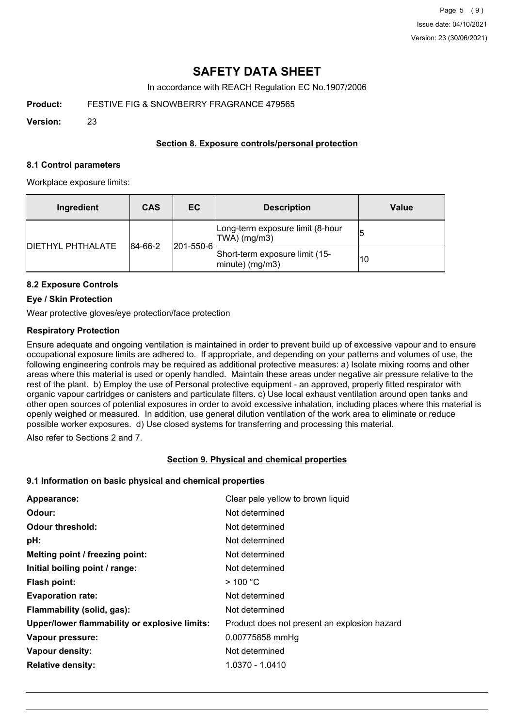In accordance with REACH Regulation EC No.1907/2006

**Product:** FESTIVE FIG & SNOWBERRY FRAGRANCE 479565

**Version:** 23

### **Section 8. Exposure controls/personal protection**

#### **8.1 Control parameters**

Workplace exposure limits:

| Ingredient               | <b>CAS</b> | EC        | <b>Description</b>                                   | Value |
|--------------------------|------------|-----------|------------------------------------------------------|-------|
| <b>DIETHYL PHTHALATE</b> | 84-66-2    | 201-550-6 | Long-term exposure limit (8-hour<br>$ TWA $ (mg/m3)  |       |
|                          |            |           | Short-term exposure limit (15-<br>$ minute)$ (mg/m3) | 10    |

# **8.2 Exposure Controls**

#### **Eye / Skin Protection**

Wear protective gloves/eye protection/face protection

#### **Respiratory Protection**

Ensure adequate and ongoing ventilation is maintained in order to prevent build up of excessive vapour and to ensure occupational exposure limits are adhered to. If appropriate, and depending on your patterns and volumes of use, the following engineering controls may be required as additional protective measures: a) Isolate mixing rooms and other areas where this material is used or openly handled. Maintain these areas under negative air pressure relative to the rest of the plant. b) Employ the use of Personal protective equipment - an approved, properly fitted respirator with organic vapour cartridges or canisters and particulate filters. c) Use local exhaust ventilation around open tanks and other open sources of potential exposures in order to avoid excessive inhalation, including places where this material is openly weighed or measured. In addition, use general dilution ventilation of the work area to eliminate or reduce possible worker exposures. d) Use closed systems for transferring and processing this material.

Also refer to Sections 2 and 7.

#### **Section 9. Physical and chemical properties**

#### **9.1 Information on basic physical and chemical properties**

| Appearance:                                   | Clear pale yellow to brown liquid            |
|-----------------------------------------------|----------------------------------------------|
| Odour:                                        | Not determined                               |
| <b>Odour threshold:</b>                       | Not determined                               |
| pH:                                           | Not determined                               |
| Melting point / freezing point:               | Not determined                               |
| Initial boiling point / range:                | Not determined                               |
| Flash point:                                  | $>$ 100 °C                                   |
| <b>Evaporation rate:</b>                      | Not determined                               |
| Flammability (solid, gas):                    | Not determined                               |
| Upper/lower flammability or explosive limits: | Product does not present an explosion hazard |
| Vapour pressure:                              | 0.00775858 mmHg                              |
| Vapour density:                               | Not determined                               |
| <b>Relative density:</b>                      | 1.0370 - 1.0410                              |
|                                               |                                              |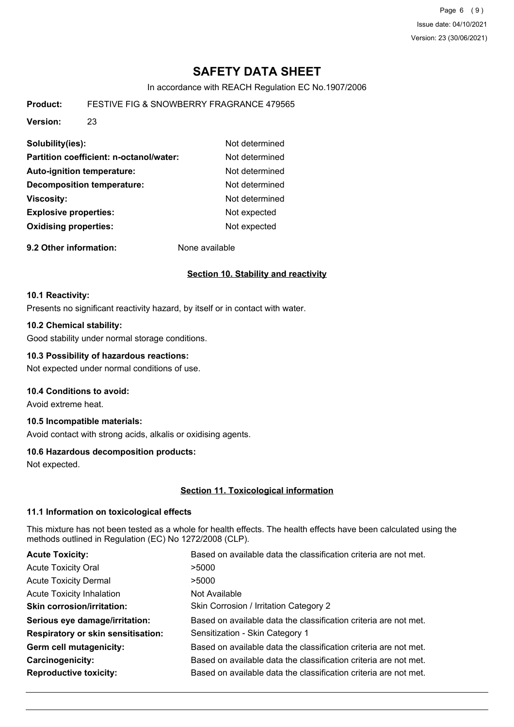Page 6 (9) Issue date: 04/10/2021 Version: 23 (30/06/2021)

# **SAFETY DATA SHEET**

In accordance with REACH Regulation EC No.1907/2006

**Product:** FESTIVE FIG & SNOWBERRY FRAGRANCE 479565

**Version:** 23

| Solubility(ies):                        | Not determined |
|-----------------------------------------|----------------|
| Partition coefficient: n-octanol/water: | Not determined |
| <b>Auto-ignition temperature:</b>       | Not determined |
| <b>Decomposition temperature:</b>       | Not determined |
| <b>Viscosity:</b>                       | Not determined |
| <b>Explosive properties:</b>            | Not expected   |
| <b>Oxidising properties:</b>            | Not expected   |
|                                         |                |

**9.2 Other information:** None available

#### **Section 10. Stability and reactivity**

#### **10.1 Reactivity:**

Presents no significant reactivity hazard, by itself or in contact with water.

#### **10.2 Chemical stability:**

Good stability under normal storage conditions.

#### **10.3 Possibility of hazardous reactions:**

Not expected under normal conditions of use.

#### **10.4 Conditions to avoid:**

Avoid extreme heat.

# **10.5 Incompatible materials:**

Avoid contact with strong acids, alkalis or oxidising agents.

#### **10.6 Hazardous decomposition products:**

Not expected.

#### **Section 11. Toxicological information**

#### **11.1 Information on toxicological effects**

This mixture has not been tested as a whole for health effects. The health effects have been calculated using the methods outlined in Regulation (EC) No 1272/2008 (CLP).

| <b>Acute Toxicity:</b>                    | Based on available data the classification criteria are not met. |
|-------------------------------------------|------------------------------------------------------------------|
| <b>Acute Toxicity Oral</b>                | >5000                                                            |
| <b>Acute Toxicity Dermal</b>              | >5000                                                            |
| <b>Acute Toxicity Inhalation</b>          | Not Available                                                    |
| <b>Skin corrosion/irritation:</b>         | Skin Corrosion / Irritation Category 2                           |
| Serious eye damage/irritation:            | Based on available data the classification criteria are not met. |
| <b>Respiratory or skin sensitisation:</b> | Sensitization - Skin Category 1                                  |
| Germ cell mutagenicity:                   | Based on available data the classification criteria are not met. |
| Carcinogenicity:                          | Based on available data the classification criteria are not met. |
| <b>Reproductive toxicity:</b>             | Based on available data the classification criteria are not met. |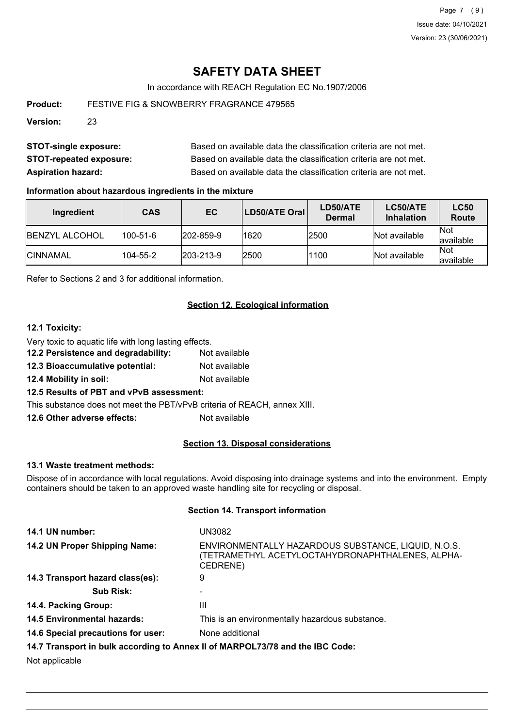In accordance with REACH Regulation EC No.1907/2006

**Product:** FESTIVE FIG & SNOWBERRY FRAGRANCE 479565

**Version:** 23

| <b>STOT-single exposure:</b>   | Based on available data the classification criteria are not met. |
|--------------------------------|------------------------------------------------------------------|
| <b>STOT-repeated exposure:</b> | Based on available data the classification criteria are not met. |
| <b>Aspiration hazard:</b>      | Based on available data the classification criteria are not met. |

#### **Information about hazardous ingredients in the mixture**

| Ingredient             | <b>CAS</b>     | EC                | LD50/ATE Oral | LD50/ATE<br>Dermal | LC50/ATE<br><b>Inhalation</b> | <b>LC50</b><br>Route     |
|------------------------|----------------|-------------------|---------------|--------------------|-------------------------------|--------------------------|
| <b>IBENZYL ALCOHOL</b> | $100 - 51 - 6$ | $ 202 - 859 - 9$  | 1620          | 2500               | Not available                 | <b>Not</b><br>lavailable |
| <b>ICINNAMAL</b>       | 104-55-2       | $ 203 - 213 - 9 $ | 2500          | 1100               | Not available                 | <b>Not</b><br>lavailable |

Refer to Sections 2 and 3 for additional information.

#### **Section 12. Ecological information**

# **12.1 Toxicity:**

Very toxic to aquatic life with long lasting effects.

- **12.2 Persistence and degradability:** Not available
- **12.3 Bioaccumulative potential:** Not available
- **12.4 Mobility in soil:** Not available

#### **12.5 Results of PBT and vPvB assessment:**

This substance does not meet the PBT/vPvB criteria of REACH, annex XIII.

**12.6 Other adverse effects:** Not available

#### **Section 13. Disposal considerations**

#### **13.1 Waste treatment methods:**

Dispose of in accordance with local regulations. Avoid disposing into drainage systems and into the environment. Empty containers should be taken to an approved waste handling site for recycling or disposal.

#### **Section 14. Transport information**

| 14.1 UN number:                                                               | UN3082                                                                                                              |  |
|-------------------------------------------------------------------------------|---------------------------------------------------------------------------------------------------------------------|--|
| 14.2 UN Proper Shipping Name:                                                 | ENVIRONMENTALLY HAZARDOUS SUBSTANCE, LIQUID, N.O.S.<br>(TETRAMETHYL ACETYLOCTAHYDRONAPHTHALENES, ALPHA-<br>CEDRENE) |  |
| 14.3 Transport hazard class(es):                                              | 9                                                                                                                   |  |
| <b>Sub Risk:</b>                                                              |                                                                                                                     |  |
| 14.4. Packing Group:                                                          | Ш                                                                                                                   |  |
| <b>14.5 Environmental hazards:</b>                                            | This is an environmentally hazardous substance.                                                                     |  |
| 14.6 Special precautions for user:                                            | None additional                                                                                                     |  |
| 14.7 Transport in bulk according to Annex II of MARPOL73/78 and the IBC Code: |                                                                                                                     |  |

Not applicable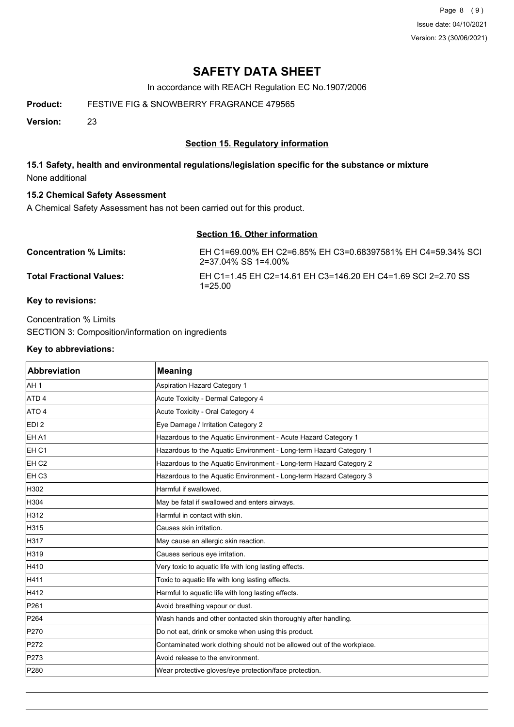Page 8 (9) Issue date: 04/10/2021 Version: 23 (30/06/2021)

# **SAFETY DATA SHEET**

In accordance with REACH Regulation EC No.1907/2006

**Product:** FESTIVE FIG & SNOWBERRY FRAGRANCE 479565

**Version:** 23

# **Section 15. Regulatory information**

# **15.1 Safety, health and environmental regulations/legislation specific for the substance or mixture** None additional

# **15.2 Chemical Safety Assessment**

A Chemical Safety Assessment has not been carried out for this product.

| Section 16. Other information |                                                                                    |  |
|-------------------------------|------------------------------------------------------------------------------------|--|
| Concentration % Limits:       | EH C1=69.00% EH C2=6.85% EH C3=0.68397581% EH C4=59.34% SCI<br>2=37.04% SS 1=4.00% |  |
| Total Fractional Values:      | EH C1=1.45 EH C2=14.61 EH C3=146.20 EH C4=1.69 SCI 2=2.70 SS<br>$1 = 25.00$        |  |

### **Key to revisions:**

Concentration % Limits SECTION 3: Composition/information on ingredients

#### **Key to abbreviations:**

| Abbreviation     | <b>Meaning</b>                                                         |
|------------------|------------------------------------------------------------------------|
| AH <sub>1</sub>  | Aspiration Hazard Category 1                                           |
| ATD <sub>4</sub> | Acute Toxicity - Dermal Category 4                                     |
| ATO 4            | Acute Toxicity - Oral Category 4                                       |
| EDI <sub>2</sub> | Eye Damage / Irritation Category 2                                     |
| EH A1            | Hazardous to the Aquatic Environment - Acute Hazard Category 1         |
| EH C1            | Hazardous to the Aquatic Environment - Long-term Hazard Category 1     |
| EH <sub>C2</sub> | Hazardous to the Aquatic Environment - Long-term Hazard Category 2     |
| EH C3            | Hazardous to the Aquatic Environment - Long-term Hazard Category 3     |
| H302             | Harmful if swallowed.                                                  |
| H304             | May be fatal if swallowed and enters airways.                          |
| H312             | Harmful in contact with skin.                                          |
| H315             | Causes skin irritation.                                                |
| H317             | May cause an allergic skin reaction.                                   |
| H319             | Causes serious eye irritation.                                         |
| H410             | Very toxic to aquatic life with long lasting effects.                  |
| H411             | Toxic to aquatic life with long lasting effects.                       |
| H412             | Harmful to aquatic life with long lasting effects.                     |
| P261             | Avoid breathing vapour or dust.                                        |
| P <sub>264</sub> | Wash hands and other contacted skin thoroughly after handling.         |
| P270             | Do not eat, drink or smoke when using this product.                    |
| P272             | Contaminated work clothing should not be allowed out of the workplace. |
| P273             | Avoid release to the environment.                                      |
| P280             | Wear protective gloves/eye protection/face protection.                 |